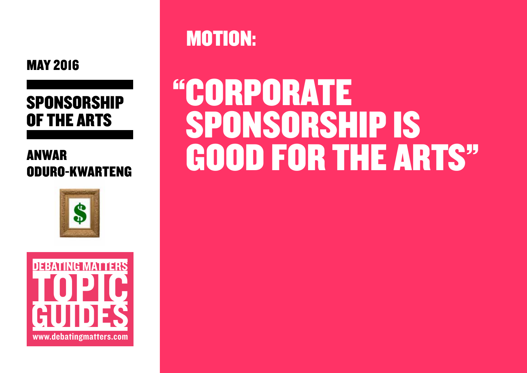

## **SPONSORSHIP** OF THE ARTS

### ANWAR ODURO-KWARTENG





MOTION:

# "CORPORATE SPONSORSHIP IS GOOD FOR THE ARTS"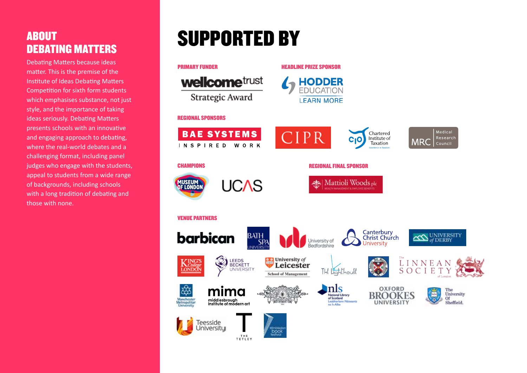#### ABOUT DEBATING MATTERS

Debating Matters because ideas matter. This is the premise of the Institute of Ideas Debating Matters Competition for sixth form students which emphasises substance, not just style, and the importance of taking ideas seriously. Debating Matters presents schools with an innovative and engaging approach to debating, where the real-world debates and a challenging format, including panel judges who engage with the students, appeal to students from a wide range of backgrounds, including schools with a long tradition of debating and those with none.

## SUPPORTED BY

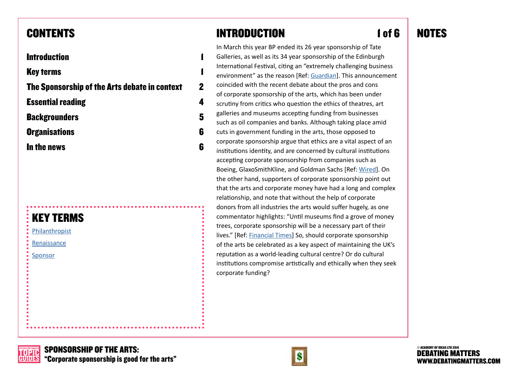#### CONTENTS

#### **Introduction**

**Key terms** 

The Sponsorship of the Arts debate in context [2](#page-3-0)

Essential reading [4](#page-5-0)

Backgrounders [5](#page-6-0)

Organisations [6](#page-7-0)

In the news [6](#page-7-1)

### KEY TERMS

[Philanthropist](http://www.merriam-webster.com/dictionary/philanthropist)

[Renaissance](http://www.britannica.com/event/Renaissance)

[Sponsor](https://en.wikipedia.org/wiki/Sponsor_(commercial))

### INTRODUCTION

In March this year BP ended its 26 year sponsorship of Tate Galleries, as well as its 34 year sponsorship of the Edinburgh International Festival, citing an "extremely challenging business environment" as the reason [Ref: [Guardian](http://www.theguardian.com/artanddesign/2016/mar/11/bp-to-end-tate-sponsorship-climate-protests)]. This announcement coincided with the recent debate about the pros and cons of corporate sponsorship of the arts, which has been under scrutiny from critics who question the ethics of theatres, art galleries and museums accepting funding from businesses such as oil companies and banks. Although taking place amid cuts in government funding in the arts, those opposed to corporate sponsorship argue that ethics are a vital aspect of an institutions identity, and are concerned by cultural institutions accepting corporate sponsorship from companies such as Boeing, GlaxoSmithKline, and Goldman Sachs [Ref: [Wired\]](http://www.wired.co.uk/news/archive/2015-06/01/museum-corporate-sponsors-influencing-climate-issues). On the other hand, supporters of corporate sponsorship point out that the arts and corporate money have had a long and complex relationship, and note that without the help of corporate donors from all industries the arts would suffer hugely, as one commentator highlights: "Until museums find a grove of money trees, corporate sponsorship will be a necessary part of their lives." [Ref: [Financial Times](http://www.ft.com/cms/s/0/4f2c668c-fb18-11e5-8f41-df5bda8beb40.html#axzz47amTaeaL)] So, should corporate sponsorship of the arts be celebrated as a key aspect of maintaining the UK's reputation as a world-leading cultural centre? Or do cultural institutions compromise artistically and ethically when they seek corporate funding?

### 1 of 6 NOTES

DEBATING MATTERS TOPIC GUIDES



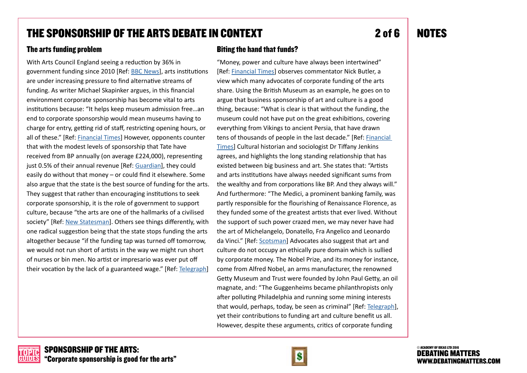#### <span id="page-3-0"></span>THE SPONSORSHIP OF THE ARTS DEBATE IN CONTEXT

#### The arts funding problem

With Arts Council England seeing a reduction by 36% in government funding since 2010 [Ref: [BBC News](http://www.bbc.co.uk/news/entertainment-arts-32915647)], arts institutions are under increasing pressure to find alternative streams of funding. As writer Michael Skapinker argues, in this financial environment corporate sponsorship has become vital to arts institutions because: "It helps keep museum admission free…an end to corporate sponsorship would mean museums having to charge for entry, getting rid of staff, restricting opening hours, or all of these." [Ref: [Financial Times](https://next.ft.com/content/4f2c668c-fb18-11e5-8f41-df5bda8beb40?siteedition=uk&_i_location=http%3A%2F%2Fwww.ft.com%2Fcms%2Fs%2F0%2F4f2c668c-fb18-11e5-8f41-df5bda8beb40.html%3Fsiteedition%3Duk&_i_referer=&classification=conditional_standard&iab=barrier-app#axzz477oANOe0)] However, opponents counter that with the modest levels of sponsorship that Tate have received from BP annually (on average £224,000), representing just 0.5% of their annual revenue [Ref: [Guardian](http://www.theguardian.com/artanddesign/2015/jan/26/tate-reveal-bp-sponsorship-150000-330000-platform-information-tribunal)], they could easily do without that money – or could find it elsewhere. Some also argue that the state is the best source of funding for the arts. They suggest that rather than encouraging institutions to seek corporate sponsorship, it is the role of government to support culture, because "the arts are one of the hallmarks of a civilised society" [Ref: [New Statesman](http://www.newstatesman.com/blogs/cultural-capital/2010/07/arts-cuts-jeremy-hunt)]. Others see things differently, with one radical suggestion being that the state stops funding the arts altogether because "if the funding tap was turned off tomorrow, we would not run short of artists in the way we might run short of nurses or bin men. No artist or impresario was ever put off their vocation by the lack of a guaranteed wage." [Ref: [Telegraph\]](http://www.telegraph.co.uk/news/politics/conservative/11630643/A-critics-plea-stop-all-arts-funding-now.html)

#### Biting the hand that funds?

"Money, power and culture have always been intertwined" [Ref: [Financial Times](https://next.ft.com/content/2cef0dbe-ff40-11e5-99cb-83242733f755?siteedition=uk&_i_location=http%3A%2F%2Fwww.ft.com%2Fcms%2Fs%2F0%2F2cef0dbe-ff40-11e5-99cb-83242733f755.html%3Fsiteedition%3Duk&_i_referer=&classification=conditional_standard&iab=barrier-app#axzz45VukiAN2)] observes commentator Nick Butler, a view which many advocates of corporate funding of the arts share. Using the British Museum as an example, he goes on to argue that business sponsorship of art and culture is a good thing, because: "What is clear is that without the funding, the museum could not have put on the great exhibitions, covering everything from Vikings to ancient Persia, that have drawn tens of thousands of people in the last decade." [Ref: [Financial](https://next.ft.com/content/2cef0dbe-ff40-11e5-99cb-83242733f755?siteedition=uk&_i_location=http%3A%2F%2Fwww.ft.com%2Fcms%2Fs%2F0%2F2cef0dbe-ff40-11e5-99cb-83242733f755.html%3Fsiteedition%3Duk&_i_referer=&classification=conditional_standard&iab=barrier-app#axzz45VukiAN2)  [Times\]](https://next.ft.com/content/2cef0dbe-ff40-11e5-99cb-83242733f755?siteedition=uk&_i_location=http%3A%2F%2Fwww.ft.com%2Fcms%2Fs%2F0%2F2cef0dbe-ff40-11e5-99cb-83242733f755.html%3Fsiteedition%3Duk&_i_referer=&classification=conditional_standard&iab=barrier-app#axzz45VukiAN2) Cultural historian and sociologist Dr Tiffany Jenkins agrees, and highlights the long standing relationship that has existed between big business and art. She states that: "Artists and arts institutions have always needed significant sums from the wealthy and from corporations like BP. And they always will." And furthermore: "The Medici, a prominent banking family, was partly responsible for the flourishing of Renaissance Florence, as they funded some of the greatest artists that ever lived. Without the support of such power crazed men, we may never have had the art of Michelangelo, Donatello, Fra Angelico and Leonardo da Vinci." [Ref: [Scotsman](http://www.scotsman.com/lifestyle/culture/tiffany-jenkins-biting-the-hand-that-funds-art-1-3459811)] Advocates also suggest that art and culture do not occupy an ethically pure domain which is sullied by corporate money. The Nobel Prize, and its money for instance, come from Alfred Nobel, an arms manufacturer, the renowned Getty Museum and Trust were founded by John Paul Getty, an oil magnate, and: "The Guggenheims became philanthropists only after polluting Philadelphia and running some mining interests that would, perhaps, today, be seen as criminal" [Ref: [Telegraph](http://www.telegraph.co.uk/culture/art/7867302/Ignore-the-protests-against-BP-at-the-Tate.-Oil-and-art-get-along-fine.html)], yet their contributions to funding art and culture benefit us all. However, despite these arguments, critics of corporate funding

2 of 6 NOTES

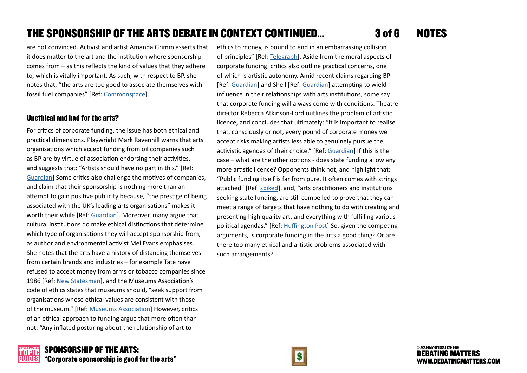#### THE SPONSORSHIP OF THE ARTS DEBATE IN CONTEXT CONTINUED...

are not convinced. Activist and artist Amanda Grimm asserts that it does matter to the art and the institution where sponsorship comes from – as this reflects the kind of values that they adhere to, which is vitally important. As such, with respect to BP, she notes that, "the arts are too good to associate themselves with fossil fuel companies" [Ref: [Commonspace](https://www.commonspace.scot/articles/3589/amanda-grimm-why-the-arts-should-break-free-from-their-unequal-relationship-with-big-oil)].

#### Unethical and bad for the arts?

For critics of corporate funding, the issue has both ethical and practical dimensions. Playwright Mark Ravenhill warns that arts organisations which accept funding from oil companies such as BP are by virtue of association endorsing their activities, and suggests that: "Artists should have no part in this." [Ref: [Guardian](http://www.theguardian.com/stage/theatreblog/2015/jan/28/artists-oil-money-sponsorship-tate-bp-mark-ravenhill)] Some critics also challenge the motives of companies, and claim that their sponsorship is nothing more than an attempt to gain positive publicity because, "the prestige of being associated with the UK's leading arts organisations" makes it worth their while [Ref: [Guardian](http://www.theguardian.com/environment/2015/apr/19/oil-companies-arts-sponsorship-cynical-pr-strategy-says-activist)]. Moreover, many argue that cultural institutions do make ethical distinctions that determine which type of organisations they will accept sponsorship from, as author and environmental activist Mel Evans emphasises. She notes that the arts have a history of distancing themselves from certain brands and industries – for example Tate have refused to accept money from arms or tobacco companies since 1986 [Ref: [New Statesman](http://www.newstatesman.com/business/2015/04/biting-hand-funds-tate-losing-out-its-association-sponsors-bp)], and the Museums Association's code of ethics states that museums should, "seek support from organisations whose ethical values are consistent with those of the museum." [Ref: [Museums Association](http://www.museumsassociation.org/download?id=1155827)] However, critics of an ethical approach to funding argue that more often than not: "Any inflated posturing about the relationship of art to

ethics to money, is bound to end in an embarrassing collision of principles" [Ref: [Telegraph](http://www.telegraph.co.uk/culture/art/7867302/Ignore-the-protests-against-BP-at-the-Tate.-Oil-and-art-get-along-fine.html)]. Aside from the moral aspects of corporate funding, critics also outline practical concerns, one of which is artistic autonomy. Amid recent claims regarding BP [Ref: [Guardian](http://www.theguardian.com/culture/2016/apr/29/museums-ethics-investigation-influence-sponsor-bp-british-museum)] and Shell [Ref: [Guardian](https://www.theguardian.com/business/2015/nov/12/science-museum-ends-sponsorship-deal-with-shell)] attempting to wield influence in their relationships with arts institutions, some say that corporate funding will always come with conditions. Theatre director Rebecca Atkinson-Lord outlines the problem of artistic licence, and concludes that ultimately: "It is important to realise that, consciously or not, every pound of corporate money we accept risks making artists less able to genuinely pursue the activistic agendas of their choice." [Ref: [Guardian\]](http://www.theguardian.com/stage/theatreblog/2015/sep/30/are-ethics-and-activism-becoming-luxuries-for-arts-organisations) If this is the case – what are the other options - does state funding allow any more artistic licence? Opponents think not, and highlight that: "Public funding itself is far from pure. It often comes with strings attached" [Ref: [spiked](http://www.spiked-online.com/newsite/article/why-shouldnt-the-tate-take-oil-money/16410#.VyoS1IQrJhH)], and, "arts practitioners and institutions seeking state funding, are still compelled to prove that they can meet a range of targets that have nothing to do with creating and presenting high quality art, and everything with fulfilling various political agendas." [Ref: [Huffington Post\]](http://www.huffingtonpost.co.uk/nathalie-rothschild/when-it-comes-to-the-arts_b_898112.html) So, given the competing arguments, is corporate funding in the arts a good thing? Or are there too many ethical and artistic problems associated with such arrangements?





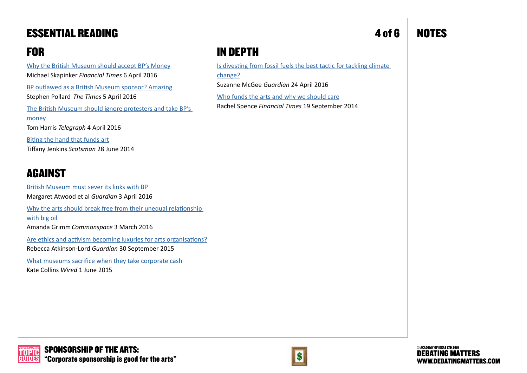### <span id="page-5-0"></span>ESSENTIAL READING

### FOR

[Why the British Museum should accept BP's Money](http://www.ft.com/cms/s/0/4f2c668c-fb18-11e5-8f41-df5bda8beb40.html#axzz477oANOe0) Michael Skapinker *Financial Times* 6 April 2016

[BP outlawed as a British Museum sponsor? Amazing](http://www.thetimes.co.uk/edition/comment/bp-outlawed-as-a-british-museum-sponsor-amazing-53wl8wznd) Stephen Pollard *The Times* 5 April 2016

[The British Museum should ignore protesters and take BP's](http://www.telegraph.co.uk/news/2016/04/04/the-british-museum-protesters-should-shut-up-and-take-bps-money/)  [money](http://www.telegraph.co.uk/news/2016/04/04/the-british-museum-protesters-should-shut-up-and-take-bps-money/) Tom Harris *Telegraph* 4 April 2016

[Biting the hand that funds art](http://www.scotsman.com/lifestyle/culture/tiffany-jenkins-biting-the-hand-that-funds-art-1-3459811) Tiffany Jenkins *Scotsman* 28 June 2014

#### AGAINST

[British Museum must sever its links with BP](http://www.theguardian.com/environment/2016/apr/03/british-museum-bp-sponsorship-hartwig-fischer-climate) Margaret Atwood et al *Guardian* 3 April 2016 [Why the arts should break free from their unequal relationship](https://www.commonspace.scot/articles/3589/amanda-grimm-why-the-arts-should-break-free-from-their-unequal-relationship-with-big-oil)  [with big oil](https://www.commonspace.scot/articles/3589/amanda-grimm-why-the-arts-should-break-free-from-their-unequal-relationship-with-big-oil) Amanda Grimm*Commonspace* 3 March 2016 [Are ethics and activism becoming luxuries for arts organisations?](http://www.theguardian.com/stage/theatreblog/2015/sep/30/are-ethics-and-activism-becoming-luxuries-for-arts-organisations) Rebecca Atkinson-Lord *Guardian* 30 September 2015 [What museums sacrifice when they take corporate cash](http://www.wired.co.uk/news/archive/2015-06/01/museum-corporate-sponsors-influencing-climate-issues)

Kate Collins *Wired* 1 June 2015

### IN DEPTH

[Is divesting from fossil fuels the best tactic for tackling climate](http://www.theguardian.com/environment/blog/2016/apr/24/fossil-fuels-divestment-tactic-tackling-climate-change)  [change?](http://www.theguardian.com/environment/blog/2016/apr/24/fossil-fuels-divestment-tactic-tackling-climate-change)

Suzanne McGee *Guardian* 24 April 2016

[Who funds the arts and why we should care](http://www.ft.com/cms/s/2/4313691c-3513-11e4-aa47-00144feabdc0.html) Rachel Spence *Financial Times* 19 September 2014

### 4 of 6 NOTES



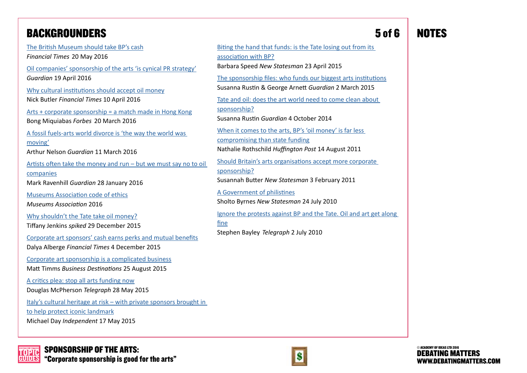### <span id="page-6-0"></span>BACKGROUNDERS

[The British Museum should take BP's cash](https://next.ft.com/content/9f2f1daa-1e77-11e6-b286-cddde55ca122) *Financial Times* 20 May 2016 [Oil companies' sponsorship of the arts 'is cynical PR strategy'](http://www.theguardian.com/environment/2015/apr/19/oil-companies-arts-sponsorship-cynical-pr-strategy-says-activist) *Guardian* 19 April 2016 [Why cultural institutions should accept oil money](http://www.ft.com/cms/s/0/2cef0dbe-ff40-11e5-99cb-83242733f755.html#axzz45VukiAN2) Nick Butler *Financial Times* 10 April 2016 [Arts + corporate sponsorship = a match made in Hong Kong](http://www.forbes.com/sites/bongmiquiabas/2015/03/20/art-corporate-sponsorship-a-match-made-in-hong-kong/#7394178c6da4) Bong Miquiabas *Forbes* 20 March 2016 [A fossil fuels-arts world divorce is 'the way the world was](http://www.theguardian.com/environment/2016/mar/11/fossil-fuels-arts-world-divorce-is-way-the-world-is-moving-tate-bp)  [moving'](http://www.theguardian.com/environment/2016/mar/11/fossil-fuels-arts-world-divorce-is-way-the-world-is-moving-tate-bp) Arthur Nelson *Guardian* 11 March 2016 [Artists often take the money and run – but we must say no to oil](http://www.theguardian.com/stage/theatreblog/2015/jan/28/artists-oil-money-sponsorship-tate-bp-mark-ravenhill)  [companies](http://www.theguardian.com/stage/theatreblog/2015/jan/28/artists-oil-money-sponsorship-tate-bp-mark-ravenhill) Mark Ravenhill *Guardian* 28 January 2016 [Museums Association code of ethics](http://www.museumsassociation.org/download?id=1155827) *Museums Association* 2016 [Why shouldn't the Tate take oil money?](http://www.spiked-online.com/newsite/article/why-shouldnt-the-tate-take-oil-money/16410#.Vwe46fkrJhH) Tiffany Jenkins *spiked* 29 December 2015 [Corporate art sponsors' cash earns perks and mutual benefits](http://www.ft.com/cms/s/2/4657bf78-8eaf-11e5-8be4-3506bf20cc2b.html#axzz44wraL5JX) Dalya Alberge *Financial Times* 4 December 2015 [Corporate art sponsorship is a complicated business](http://www.businessdestinations.com/relax/corporate-art-sponsorship-is-a-complicated-business/) Matt Timms *Business Destinations* 25 August 2015 [A critics plea: stop all arts funding now](http://www.telegraph.co.uk/news/politics/conservative/11630643/A-critics-plea-stop-all-arts-funding-now.html) Douglas McPherson *Telegraph* 28 May 2015 [Italy's cultural heritage at risk – with private sponsors brought in](http://www.independent.co.uk/news/world/europe/italys-cultural-heritage-at-risk-amid-neglect-and-bad-management-with-private-sponsors-brought-in-to-10256659.html)  [to help protect iconic landmark](http://www.independent.co.uk/news/world/europe/italys-cultural-heritage-at-risk-amid-neglect-and-bad-management-with-private-sponsors-brought-in-to-10256659.html) Michael Day *Independent* 17 May 2015

#### 5 of 6 NOTES

[Biting the hand that funds: is the Tate losing out from its](http://www.newstatesman.com/business/2015/04/biting-hand-funds-tate-losing-out-its-association-sponsors-bp)  [association with BP?](http://www.newstatesman.com/business/2015/04/biting-hand-funds-tate-losing-out-its-association-sponsors-bp) Barbara Speed *New Statesman* 23 April 2015 [The sponsorship files: who funds our biggest arts institutions](http://www.theguardian.com/culture/2015/mar/02/arts-corporate-sponsorship-tate-british-museum) Susanna Rustin & George Arnett *Guardian* 2 March 2015 [Tate and oil: does the art world need to come clean about](http://www.theguardian.com/culture/2014/oct/08/tate-bp-sponsorship-arts-funding)  [sponsorship?](http://www.theguardian.com/culture/2014/oct/08/tate-bp-sponsorship-arts-funding) Susanna Rustin *Guardian* 4 October 2014 [When it comes to the arts, BP's 'oil money' is far less](http://www.huffingtonpost.co.uk/nathalie-rothschild/when-it-comes-to-the-arts_b_898112.html)  [compromising than state funding](http://www.huffingtonpost.co.uk/nathalie-rothschild/when-it-comes-to-the-arts_b_898112.html) Nathalie Rothschild *Huffington Post* 14 August 2011 [Should Britain's arts organisations accept more corporate](http://www.newstatesman.com/blogs/cultural-capital/2011/02/arts-corporate-corporations)  [sponsorship?](http://www.newstatesman.com/blogs/cultural-capital/2011/02/arts-corporate-corporations) Susannah Butter *New Statesman* 3 February 2011 [A Government of philistines](http://www.newstatesman.com/blogs/cultural-capital/2010/07/arts-cuts-jeremy-hunt) Sholto Byrnes *New Statesman* 24 July 2010 [Ignore the protests against BP and the Tate. Oil and art get along](http://www.telegraph.co.uk/culture/art/7867302/Ignore-the-protests-against-BP-at-the-Tate.-Oil-and-art-get-along-fine.html)  Stephen Bayley *Telegraph* 2 July 2010







[fine](http://www.telegraph.co.uk/culture/art/7867302/Ignore-the-protests-against-BP-at-the-Tate.-Oil-and-art-get-along-fine.html)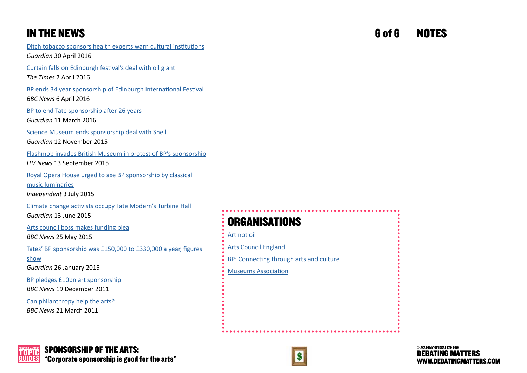<span id="page-7-1"></span>

| <b>IN THE NEWS</b>                                                                                                                                  | 6 of 6                                                                                               | <b>NOTES</b> |
|-----------------------------------------------------------------------------------------------------------------------------------------------------|------------------------------------------------------------------------------------------------------|--------------|
| Ditch tobacco sponsors health experts warn cultural institutions<br>Guardian 30 April 2016                                                          |                                                                                                      |              |
| Curtain falls on Edinburgh festival's deal with oil giant<br>The Times 7 April 2016                                                                 |                                                                                                      |              |
| BP ends 34 year sponsorship of Edinburgh International Festival<br>BBC News 6 April 2016                                                            |                                                                                                      |              |
| BP to end Tate sponsorship after 26 years<br>Guardian 11 March 2016                                                                                 |                                                                                                      |              |
| Science Museum ends sponsorship deal with Shell<br>Guardian 12 November 2015                                                                        |                                                                                                      |              |
| Flashmob invades British Museum in protest of BP's sponsorship<br>ITV News 13 September 2015                                                        |                                                                                                      |              |
| Royal Opera House urged to axe BP sponsorship by classical<br>music luminaries<br>Independent 3 July 2015                                           |                                                                                                      |              |
| Climate change activists occupy Tate Modern's Turbine Hall<br>Guardian 13 June 2015<br>Arts council boss makes funding plea<br>BBC News 25 May 2015 | <b>ORGANISATIONS</b><br>Art not oil                                                                  |              |
| Tates' BP sponsorship was £150,000 to £330,000 a year, figures<br>show<br>Guardian 26 January 2015                                                  | <b>Arts Council England</b><br>BP: Connecting through arts and culture<br><b>Museums Association</b> |              |
| BP pledges £10bn art sponsorship<br><b>BBC News 19 December 2011</b>                                                                                |                                                                                                      |              |
| Can philanthropy help the arts?<br>BBC News 21 March 2011                                                                                           |                                                                                                      |              |
|                                                                                                                                                     |                                                                                                      |              |



<span id="page-7-0"></span>

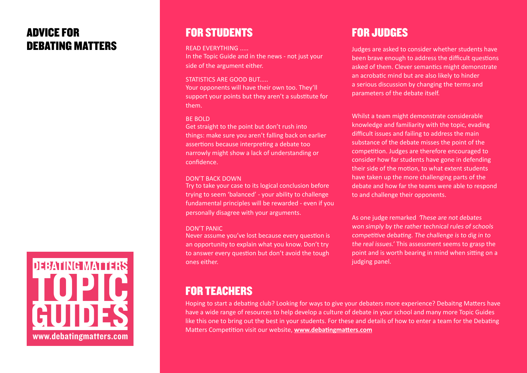#### ADVICE FOR DEBATING MATTERS



#### FOR STUDENTS

#### READ EVERYTHING .....

In the Topic Guide and in the news - not just your side of the argument either.

#### STATISTICS ARE GOOD BUT.....

Your opponents will have their own too. They'll support your points but they aren't a substitute for them.

#### BE BOLD

Get straight to the point but don't rush into things: make sure you aren't falling back on earlier assertions because interpreting a debate too narrowly might show a lack of understanding or confidence.

#### DON'T BACK DOWN

Try to take your case to its logical conclusion before trying to seem 'balanced' - your ability to challenge fundamental principles will be rewarded - even if you personally disagree with your arguments.

#### DON'T PANIC

Never assume you've lost because every question is an opportunity to explain what you know. Don't try to answer every question but don't avoid the tough ones either.

### FOR JUDGES

Judges are asked to consider whether students have been brave enough to address the difficult questions asked of them. Clever semantics might demonstrate an acrobatic mind but are also likely to hinder a serious discussion by changing the terms and parameters of the debate itself.

Whilst a team might demonstrate considerable knowledge and familiarity with the topic, evading difficult issues and failing to address the main substance of the debate misses the point of the competition. Judges are therefore encouraged to consider how far students have gone in defending their side of the motion, to what extent students have taken up the more challenging parts of the debate and how far the teams were able to respond to and challenge their opponents.

As one judge remarked These are not debates won simply by the rather technical rules of schools competitive debating. The challenge is to dig in to the real issues.' This assessment seems to grasp the point and is worth bearing in mind when sitting on a judging panel.

#### FOR TEACHERS

Hoping to start a debating club? Looking for ways to give your debaters more experience? Debaitng Matters have have a wide range of resources to help develop a culture of debate in your school and many more Topic Guides like this one to bring out the best in your students. For these and details of how to enter a team for the Debating Matters Competition visit our website, **[www.debatingmatters.com](http://www.debatingmatters.com)**